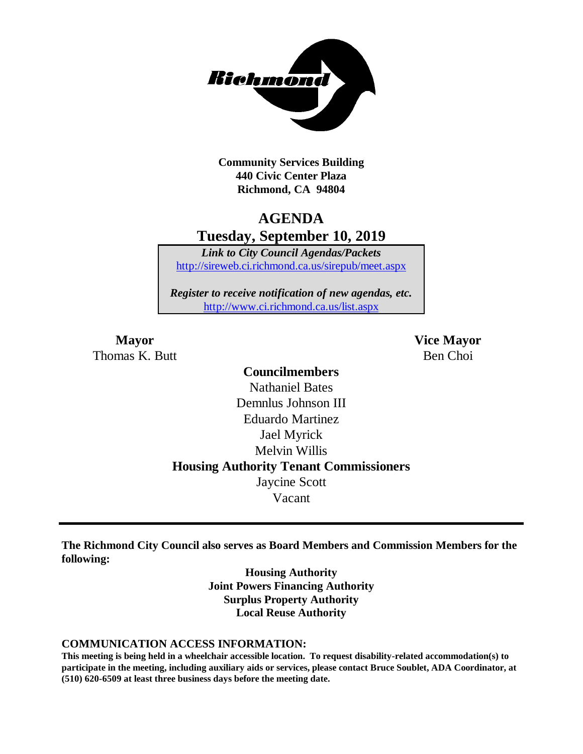

**Community Services Building 440 Civic Center Plaza Richmond, CA 94804**

### **AGENDA Tuesday, September 10, 2019**

*Link to City Council Agendas/Packets* <http://sireweb.ci.richmond.ca.us/sirepub/meet.aspx>

*Register to receive notification of new agendas, etc.* <http://www.ci.richmond.ca.us/list.aspx>

Thomas K. Butt Ben Choi

**Mayor Vice Mayor**

### **Councilmembers** Nathaniel Bates Demnlus Johnson III Eduardo Martinez Jael Myrick Melvin Willis **Housing Authority Tenant Commissioners** Jaycine Scott Vacant

**The Richmond City Council also serves as Board Members and Commission Members for the following:**

> **Housing Authority Joint Powers Financing Authority Surplus Property Authority Local Reuse Authority**

#### **COMMUNICATION ACCESS INFORMATION:**

**This meeting is being held in a wheelchair accessible location. To request disability-related accommodation(s) to participate in the meeting, including auxiliary aids or services, please contact Bruce Soublet, ADA Coordinator, at (510) 620-6509 at least three business days before the meeting date.**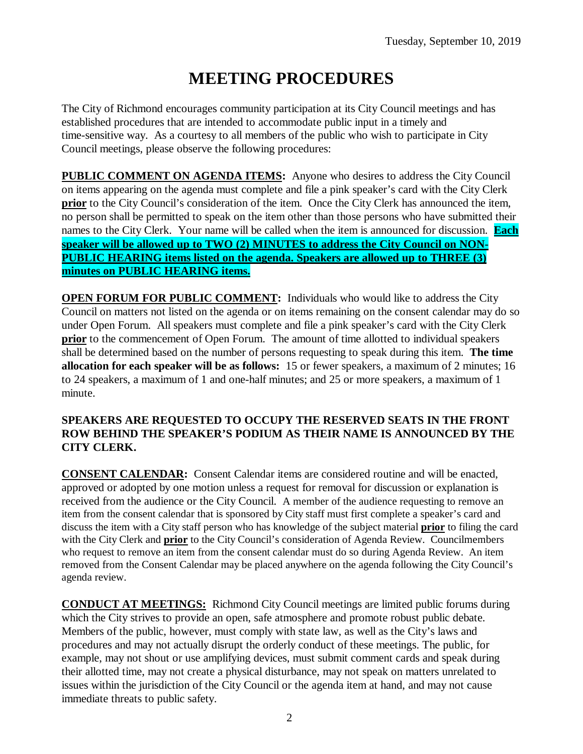# **MEETING PROCEDURES**

The City of Richmond encourages community participation at its City Council meetings and has established procedures that are intended to accommodate public input in a timely and time-sensitive way. As a courtesy to all members of the public who wish to participate in City Council meetings, please observe the following procedures:

**PUBLIC COMMENT ON AGENDA ITEMS:** Anyone who desires to address the City Council on items appearing on the agenda must complete and file a pink speaker's card with the City Clerk **prior** to the City Council's consideration of the item. Once the City Clerk has announced the item, no person shall be permitted to speak on the item other than those persons who have submitted their names to the City Clerk. Your name will be called when the item is announced for discussion. **Each speaker will be allowed up to TWO (2) MINUTES to address the City Council on NON-PUBLIC HEARING items listed on the agenda. Speakers are allowed up to THREE (3) minutes on PUBLIC HEARING items.**

**OPEN FORUM FOR PUBLIC COMMENT:** Individuals who would like to address the City Council on matters not listed on the agenda or on items remaining on the consent calendar may do so under Open Forum. All speakers must complete and file a pink speaker's card with the City Clerk **prior** to the commencement of Open Forum. The amount of time allotted to individual speakers shall be determined based on the number of persons requesting to speak during this item. **The time allocation for each speaker will be as follows:** 15 or fewer speakers, a maximum of 2 minutes; 16 to 24 speakers, a maximum of 1 and one-half minutes; and 25 or more speakers, a maximum of 1 minute.

#### **SPEAKERS ARE REQUESTED TO OCCUPY THE RESERVED SEATS IN THE FRONT ROW BEHIND THE SPEAKER'S PODIUM AS THEIR NAME IS ANNOUNCED BY THE CITY CLERK.**

**CONSENT CALENDAR:** Consent Calendar items are considered routine and will be enacted, approved or adopted by one motion unless a request for removal for discussion or explanation is received from the audience or the City Council. A member of the audience requesting to remove an item from the consent calendar that is sponsored by City staff must first complete a speaker's card and discuss the item with a City staff person who has knowledge of the subject material **prior** to filing the card with the City Clerk and **prior** to the City Council's consideration of Agenda Review. Councilmembers who request to remove an item from the consent calendar must do so during Agenda Review. An item removed from the Consent Calendar may be placed anywhere on the agenda following the City Council's agenda review.

**CONDUCT AT MEETINGS:** Richmond City Council meetings are limited public forums during which the City strives to provide an open, safe atmosphere and promote robust public debate. Members of the public, however, must comply with state law, as well as the City's laws and procedures and may not actually disrupt the orderly conduct of these meetings. The public, for example, may not shout or use amplifying devices, must submit comment cards and speak during their allotted time, may not create a physical disturbance, may not speak on matters unrelated to issues within the jurisdiction of the City Council or the agenda item at hand, and may not cause immediate threats to public safety.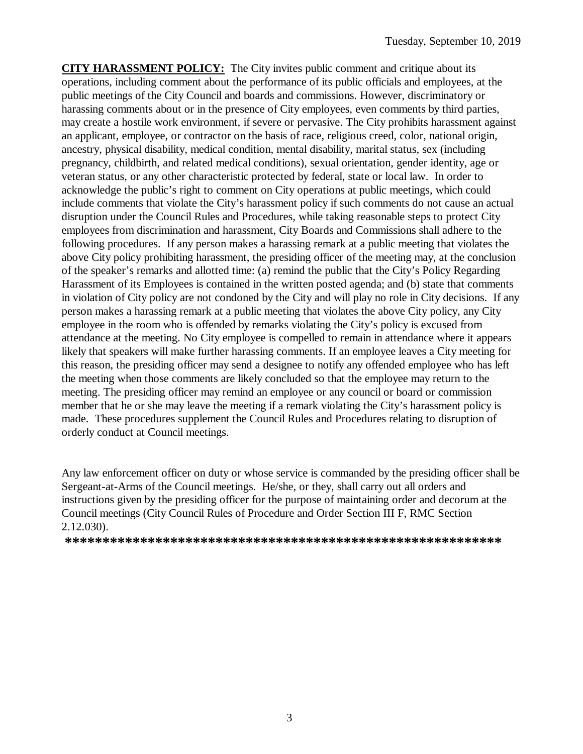**CITY HARASSMENT POLICY:** The City invites public comment and critique about its operations, including comment about the performance of its public officials and employees, at the public meetings of the City Council and boards and commissions. However, discriminatory or harassing comments about or in the presence of City employees, even comments by third parties, may create a hostile work environment, if severe or pervasive. The City prohibits harassment against an applicant, employee, or contractor on the basis of race, religious creed, color, national origin, ancestry, physical disability, medical condition, mental disability, marital status, sex (including pregnancy, childbirth, and related medical conditions), sexual orientation, gender identity, age or veteran status, or any other characteristic protected by federal, state or local law. In order to acknowledge the public's right to comment on City operations at public meetings, which could include comments that violate the City's harassment policy if such comments do not cause an actual disruption under the Council Rules and Procedures, while taking reasonable steps to protect City employees from discrimination and harassment, City Boards and Commissions shall adhere to the following procedures. If any person makes a harassing remark at a public meeting that violates the above City policy prohibiting harassment, the presiding officer of the meeting may, at the conclusion of the speaker's remarks and allotted time: (a) remind the public that the City's Policy Regarding Harassment of its Employees is contained in the written posted agenda; and (b) state that comments in violation of City policy are not condoned by the City and will play no role in City decisions. If any person makes a harassing remark at a public meeting that violates the above City policy, any City employee in the room who is offended by remarks violating the City's policy is excused from attendance at the meeting. No City employee is compelled to remain in attendance where it appears likely that speakers will make further harassing comments. If an employee leaves a City meeting for this reason, the presiding officer may send a designee to notify any offended employee who has left the meeting when those comments are likely concluded so that the employee may return to the meeting. The presiding officer may remind an employee or any council or board or commission member that he or she may leave the meeting if a remark violating the City's harassment policy is made. These procedures supplement the Council Rules and Procedures relating to disruption of orderly conduct at Council meetings.

Any law enforcement officer on duty or whose service is commanded by the presiding officer shall be Sergeant-at-Arms of the Council meetings. He/she, or they, shall carry out all orders and instructions given by the presiding officer for the purpose of maintaining order and decorum at the Council meetings (City Council Rules of Procedure and Order Section III F, RMC Section 2.12.030).

**\*\*\*\*\*\*\*\*\*\*\*\*\*\*\*\*\*\*\*\*\*\*\*\*\*\*\*\*\*\*\*\*\*\*\*\*\*\*\*\*\*\*\*\*\*\*\*\*\*\*\*\*\*\*\*\*\*\***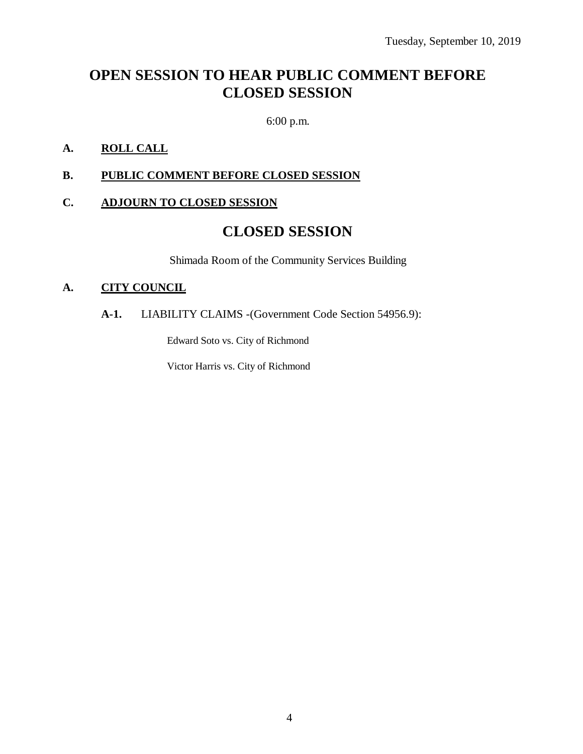## **OPEN SESSION TO HEAR PUBLIC COMMENT BEFORE CLOSED SESSION**

6:00 p.m.

### **A. ROLL CALL**

### **B. PUBLIC COMMENT BEFORE CLOSED SESSION**

### **C. ADJOURN TO CLOSED SESSION**

### **CLOSED SESSION**

Shimada Room of the Community Services Building

### **A. CITY COUNCIL**

### **A-1.** LIABILITY CLAIMS -(Government Code Section 54956.9):

Edward Soto vs. City of Richmond

Victor Harris vs. City of Richmond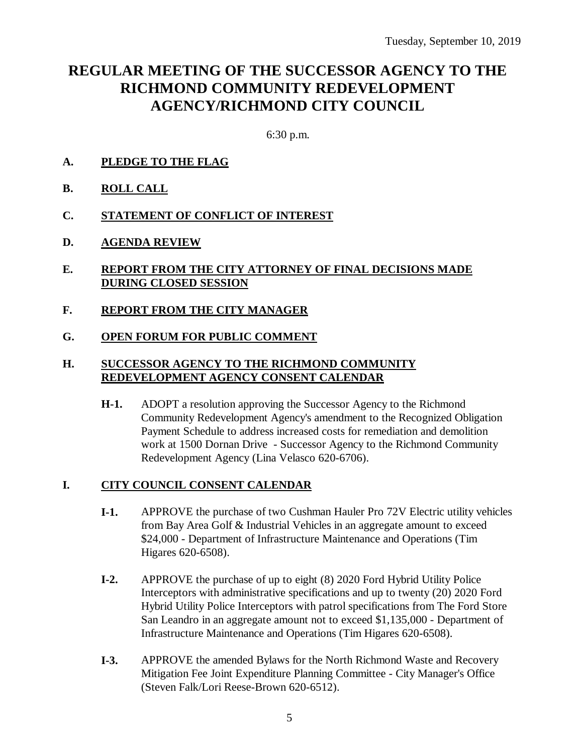### **REGULAR MEETING OF THE SUCCESSOR AGENCY TO THE RICHMOND COMMUNITY REDEVELOPMENT AGENCY/RICHMOND CITY COUNCIL**

6:30 p.m.

- **A. PLEDGE TO THE FLAG**
- **B. ROLL CALL**
- **C. STATEMENT OF CONFLICT OF INTEREST**
- **D. AGENDA REVIEW**
- **E. REPORT FROM THE CITY ATTORNEY OF FINAL DECISIONS MADE DURING CLOSED SESSION**
- **F. REPORT FROM THE CITY MANAGER**
- **G. OPEN FORUM FOR PUBLIC COMMENT**

### **H. SUCCESSOR AGENCY TO THE RICHMOND COMMUNITY REDEVELOPMENT AGENCY CONSENT CALENDAR**

**H-1.** ADOPT a resolution approving the Successor Agency to the Richmond Community Redevelopment Agency's amendment to the Recognized Obligation Payment Schedule to address increased costs for remediation and demolition work at 1500 Dornan Drive - Successor Agency to the Richmond Community Redevelopment Agency (Lina Velasco 620-6706).

### **I. CITY COUNCIL CONSENT CALENDAR**

- **I-1.** APPROVE the purchase of two Cushman Hauler Pro 72V Electric utility vehicles from Bay Area Golf & Industrial Vehicles in an aggregate amount to exceed \$24,000 - Department of Infrastructure Maintenance and Operations (Tim Higares 620-6508).
- **I-2.** APPROVE the purchase of up to eight (8) 2020 Ford Hybrid Utility Police Interceptors with administrative specifications and up to twenty (20) 2020 Ford Hybrid Utility Police Interceptors with patrol specifications from The Ford Store San Leandro in an aggregate amount not to exceed \$1,135,000 - Department of Infrastructure Maintenance and Operations (Tim Higares 620-6508).
- **I-3.** APPROVE the amended Bylaws for the North Richmond Waste and Recovery Mitigation Fee Joint Expenditure Planning Committee - City Manager's Office (Steven Falk/Lori Reese-Brown 620-6512).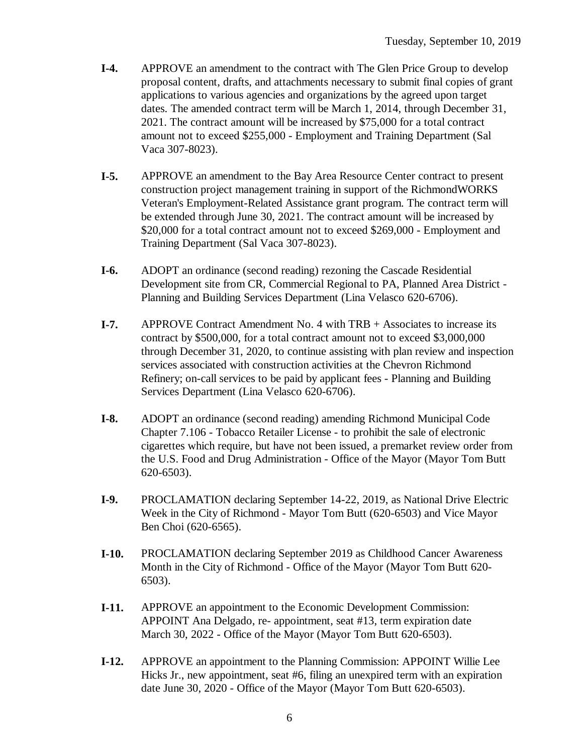- **I-4.** APPROVE an amendment to the contract with The Glen Price Group to develop proposal content, drafts, and attachments necessary to submit final copies of grant applications to various agencies and organizations by the agreed upon target dates. The amended contract term will be March 1, 2014, through December 31, 2021. The contract amount will be increased by \$75,000 for a total contract amount not to exceed \$255,000 - Employment and Training Department (Sal Vaca 307-8023).
- **I-5.** APPROVE an amendment to the Bay Area Resource Center contract to present construction project management training in support of the RichmondWORKS Veteran's Employment-Related Assistance grant program. The contract term will be extended through June 30, 2021. The contract amount will be increased by \$20,000 for a total contract amount not to exceed \$269,000 - Employment and Training Department (Sal Vaca 307-8023).
- **I-6.** ADOPT an ordinance (second reading) rezoning the Cascade Residential Development site from CR, Commercial Regional to PA, Planned Area District - Planning and Building Services Department (Lina Velasco 620-6706).
- **I-7.** APPROVE Contract Amendment No. 4 with TRB + Associates to increase its contract by \$500,000, for a total contract amount not to exceed \$3,000,000 through December 31, 2020, to continue assisting with plan review and inspection services associated with construction activities at the Chevron Richmond Refinery; on-call services to be paid by applicant fees - Planning and Building Services Department (Lina Velasco 620-6706).
- **I-8.** ADOPT an ordinance (second reading) amending Richmond Municipal Code Chapter 7.106 - Tobacco Retailer License - to prohibit the sale of electronic cigarettes which require, but have not been issued, a premarket review order from the U.S. Food and Drug Administration - Office of the Mayor (Mayor Tom Butt 620-6503).
- **I-9.** PROCLAMATION declaring September 14-22, 2019, as National Drive Electric Week in the City of Richmond - Mayor Tom Butt (620-6503) and Vice Mayor Ben Choi (620-6565).
- **I-10.** PROCLAMATION declaring September 2019 as Childhood Cancer Awareness Month in the City of Richmond - Office of the Mayor (Mayor Tom Butt 620- 6503).
- **I-11.** APPROVE an appointment to the Economic Development Commission: APPOINT Ana Delgado, re- appointment, seat #13, term expiration date March 30, 2022 - Office of the Mayor (Mayor Tom Butt 620-6503).
- **I-12.** APPROVE an appointment to the Planning Commission: APPOINT Willie Lee Hicks Jr., new appointment, seat #6, filing an unexpired term with an expiration date June 30, 2020 - Office of the Mayor (Mayor Tom Butt 620-6503).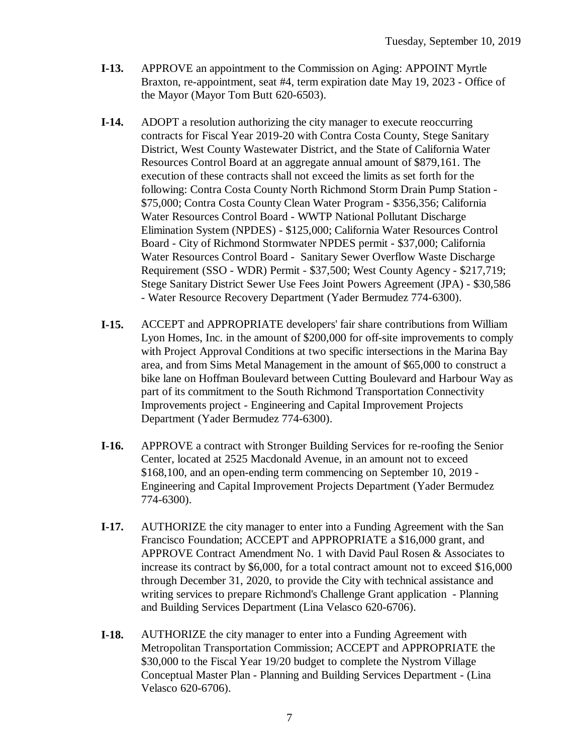- **I-13.** APPROVE an appointment to the Commission on Aging: APPOINT Myrtle Braxton, re-appointment, seat #4, term expiration date May 19, 2023 - Office of the Mayor (Mayor Tom Butt 620-6503).
- **I-14.** ADOPT a resolution authorizing the city manager to execute reoccurring contracts for Fiscal Year 2019-20 with Contra Costa County, Stege Sanitary District, West County Wastewater District, and the State of California Water Resources Control Board at an aggregate annual amount of \$879,161. The execution of these contracts shall not exceed the limits as set forth for the following: Contra Costa County North Richmond Storm Drain Pump Station - \$75,000; Contra Costa County Clean Water Program - \$356,356; California Water Resources Control Board - WWTP National Pollutant Discharge Elimination System (NPDES) - \$125,000; California Water Resources Control Board - City of Richmond Stormwater NPDES permit - \$37,000; California Water Resources Control Board - Sanitary Sewer Overflow Waste Discharge Requirement (SSO - WDR) Permit - \$37,500; West County Agency - \$217,719; Stege Sanitary District Sewer Use Fees Joint Powers Agreement (JPA) - \$30,586 - Water Resource Recovery Department (Yader Bermudez 774-6300).
- **I-15.** ACCEPT and APPROPRIATE developers' fair share contributions from William Lyon Homes, Inc. in the amount of \$200,000 for off-site improvements to comply with Project Approval Conditions at two specific intersections in the Marina Bay area, and from Sims Metal Management in the amount of \$65,000 to construct a bike lane on Hoffman Boulevard between Cutting Boulevard and Harbour Way as part of its commitment to the South Richmond Transportation Connectivity Improvements project - Engineering and Capital Improvement Projects Department (Yader Bermudez 774-6300).
- **I-16.** APPROVE a contract with Stronger Building Services for re-roofing the Senior Center, located at 2525 Macdonald Avenue, in an amount not to exceed \$168,100, and an open-ending term commencing on September 10, 2019 - Engineering and Capital Improvement Projects Department (Yader Bermudez 774-6300).
- **I-17.** AUTHORIZE the city manager to enter into a Funding Agreement with the San Francisco Foundation; ACCEPT and APPROPRIATE a \$16,000 grant, and APPROVE Contract Amendment No. 1 with David Paul Rosen & Associates to increase its contract by \$6,000, for a total contract amount not to exceed \$16,000 through December 31, 2020, to provide the City with technical assistance and writing services to prepare Richmond's Challenge Grant application - Planning and Building Services Department (Lina Velasco 620-6706).
- **I-18.** AUTHORIZE the city manager to enter into a Funding Agreement with Metropolitan Transportation Commission; ACCEPT and APPROPRIATE the \$30,000 to the Fiscal Year 19/20 budget to complete the Nystrom Village Conceptual Master Plan - Planning and Building Services Department - (Lina Velasco 620-6706).